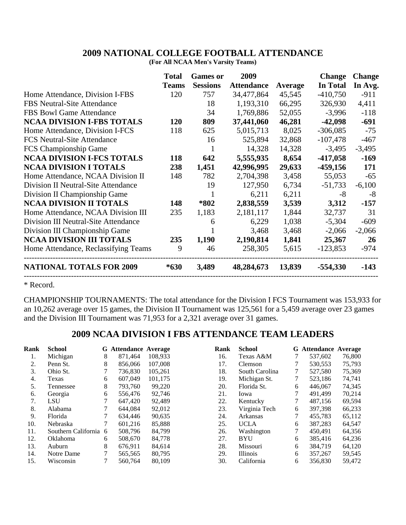## **2009 NATIONAL COLLEGE FOOTBALL ATTENDANCE**

**(For All NCAA Men's Varsity Teams)**

|                                      | <b>Total</b> | <b>Games or</b> | 2009              |         | <b>Change</b>   | <b>Change</b> |
|--------------------------------------|--------------|-----------------|-------------------|---------|-----------------|---------------|
|                                      | <b>Teams</b> | <b>Sessions</b> | <b>Attendance</b> | Average | <b>In Total</b> | In Avg.       |
| Home Attendance, Division I-FBS      | 120          | 757             | 34,477,864        | 45,545  | $-410,750$      | $-911$        |
| <b>FBS</b> Neutral-Site Attendance   |              | 18              | 1,193,310         | 66,295  | 326,930         | 4,411         |
| FBS Bowl Game Attendance             |              | 34              | 1,769,886         | 52,055  | $-3,996$        | $-118$        |
| <b>NCAA DIVISION I-FBS TOTALS</b>    | 120          | 809             | 37,441,060        | 46,281  | $-42,098$       | $-691$        |
| Home Attendance, Division I-FCS      | 118          | 625             | 5,015,713         | 8,025   | $-306,085$      | $-75$         |
| <b>FCS Neutral-Site Attendance</b>   |              | 16              | 525,894           | 32,868  | $-107,478$      | $-467$        |
| FCS Championship Game                |              | 1               | 14,328            | 14,328  | $-3,495$        | $-3,495$      |
| <b>NCAA DIVISION I-FCS TOTALS</b>    | 118          | 642             | 5,555,935         | 8,654   | $-417,058$      | $-169$        |
| <b>NCAA DIVISION I TOTALS</b>        | 238          | 1,451           | 42,996,995        | 29,633  | $-459,156$      | 171           |
| Home Attendance, NCAA Division II    | 148          | 782             | 2,704,398         | 3,458   | 55,053          | $-65$         |
| Division II Neutral-Site Attendance  |              | 19              | 127,950           | 6,734   | $-51,733$       | $-6,100$      |
| Division II Championship Game        |              |                 | 6,211             | 6,211   | -8              | -8            |
| <b>NCAA DIVISION II TOTALS</b>       | 148          | *802            | 2,838,559         | 3,539   | 3,312           | $-157$        |
| Home Attendance, NCAA Division III   | 235          | 1,183           | 2,181,117         | 1,844   | 32,737          | 31            |
| Division III Neutral-Site Attendance |              | 6               | 6,229             | 1,038   | $-5,304$        | $-609$        |
| Division III Championship Game       |              |                 | 3,468             | 3,468   | $-2,066$        | $-2,066$      |
| <b>NCAA DIVISION III TOTALS</b>      | 235          | 1,190           | 2,190,814         | 1,841   | 25,367          | 26            |
| Home Attendance, Reclassifying Teams | 9            | 46              | 258,305           | 5,615   | $-123,853$      | $-974$        |
| <b>NATIONAL TOTALS FOR 2009</b>      | $*630$       | 3,489           | 48,284,673        | 13,839  | $-554,330$      | $-143$        |
|                                      |              |                 |                   |         |                 |               |

\* Record.

CHAMPIONSHIP TOURNAMENTS: The total attendance for the Division I FCS Tournament was 153,933 for an 10,262 average over 15 games, the Division II Tournament was 125,561 for a 5,459 average over 23 games and the Division III Tournament was 71,953 for a 2,321 average over 31 games.

## **2009 NCAA DIVISION I FBS ATTENDANCE TEAM LEADERS**

| Rank | <b>School</b>         |   | <b>G</b> Attendance Average |         | Rank | <b>School</b>   |   | <b>G</b> Attendance Average |        |
|------|-----------------------|---|-----------------------------|---------|------|-----------------|---|-----------------------------|--------|
| 1.   | Michigan              | 8 | 871.464                     | 108.933 | 16.  | Texas A&M       |   | 537,602                     | 76,800 |
| 2.   | Penn St.              | 8 | 856,066                     | 107,008 | 17.  | Clemson         |   | 530,553                     | 75,793 |
| 3.   | Ohio St.              |   | 736.830                     | 105,261 | 18.  | South Carolina  | 7 | 527,580                     | 75,369 |
| 4.   | Texas                 | 6 | 607,049                     | 101,175 | 19.  | Michigan St.    |   | 523,186                     | 74,741 |
| 5.   | Tennessee             | 8 | 793,760                     | 99,220  | 20.  | Florida St.     | 6 | 446.067                     | 74,345 |
| 6.   | Georgia               | 6 | 556,476                     | 92,746  | 21.  | Iowa            | 7 | 491.499                     | 70,214 |
| 7.   | LSU                   |   | 647,420                     | 92,489  | 22.  | Kentucky        |   | 487,156                     | 69,594 |
| 8.   | Alabama               |   | 644.084                     | 92,012  | 23.  | Virginia Tech   | 6 | 397.398                     | 66,233 |
| 9.   | Florida               |   | 634,446                     | 90,635  | 24.  | Arkansas        | 7 | 455,783                     | 65,112 |
| 10.  | Nebraska              |   | 601,216                     | 85,888  | 25.  | <b>UCLA</b>     | 6 | 387,283                     | 64,547 |
| 11.  | Southern California 6 |   | 508,796                     | 84.799  | 26.  | Washington      | 7 | 450.491                     | 64,356 |
| 12.  | <b>Oklahoma</b>       | 6 | 508,670                     | 84,778  | 27.  | BYU             | 6 | 385,416                     | 64,236 |
| 13.  | Auburn                | 8 | 676,911                     | 84,614  | 28.  | Missouri        | 6 | 384,719                     | 64,120 |
| 14.  | Notre Dame            |   | 565,565                     | 80.795  | 29.  | <i>Illinois</i> | 6 | 357.267                     | 59,545 |
| 15.  | Wisconsin             |   | 560,764                     | 80,109  | 30.  | California      | 6 | 356,830                     | 59,472 |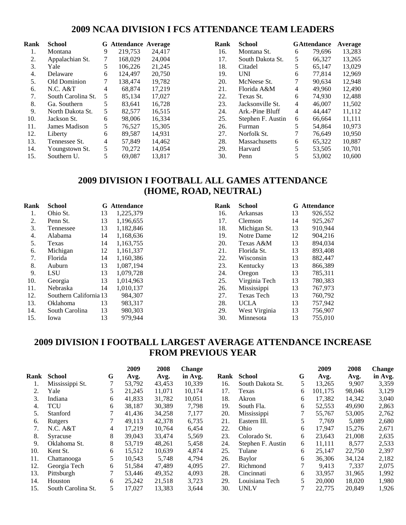#### **2009 NCAA DIVISION I FCS ATTENDANCE TEAM LEADERS**

| Rank | <b>School</b>      |    | <b>G</b> Attendance Average |        | Rank | <b>School</b>        |   | <b>GAttendance</b> | Average |
|------|--------------------|----|-----------------------------|--------|------|----------------------|---|--------------------|---------|
| 1.   | Montana            | 9  | 219.753                     | 24,417 | 16.  | Montana St.          | 6 | 79.696             | 13,283  |
| 2.   | Appalachian St.    |    | 168,029                     | 24,004 | 17.  | South Dakota St.     | 5 | 66,327             | 13,265  |
| 3.   | Yale               | 5. | 106,226                     | 21,245 | 18.  | Citadel              | 5 | 65.147             | 13,029  |
| 4.   | Delaware           | 6  | 124,497                     | 20,750 | 19.  | <b>UNI</b>           | 6 | 77,814             | 12,969  |
| .5.  | Old Dominion       |    | 138.474                     | 19.782 | 20.  | McNeese St.          |   | 90.634             | 12,948  |
| 6.   | N.C. A&T           | 4  | 68.874                      | 17,219 | 21.  | Florida A&M          | 4 | 49.960             | 12,490  |
| 7.   | South Carolina St. | 5  | 85,134                      | 17,027 | 22.  | Texas St.            | 6 | 74,930             | 12,488  |
| 8.   | Ga. Southern       | 5. | 83.641                      | 16.728 | 23.  | Jacksonville St.     | 4 | 46,007             | 11,502  |
| 9.   | North Dakota St.   | 5. | 82.577                      | 16,515 | 24.  | Ark.-Pine Bluff      | 4 | 44,447             | 11,112  |
| 10.  | Jackson St.        | 6  | 98,006                      | 16,334 | 25.  | Stephen F. Austin    | 6 | 66,664             | 11,111  |
| 11.  | James Madison      | 5. | 76,527                      | 15,305 | 26.  | Furman               | 5 | 54,864             | 10,973  |
| 12.  | Liberty            | 6  | 89.587                      | 14,931 | 27.  | Norfolk St.          |   | 76.649             | 10,950  |
| 13.  | Tennessee St.      | 4  | 57,849                      | 14,462 | 28.  | <b>Massachusetts</b> | 6 | 65,322             | 10,887  |
| 14.  | Youngstown St.     | 5. | 70,272                      | 14,054 | 29.  | Harvard              | 5 | 53,505             | 10,701  |
| 15.  | Southern U.        | 5. | 69.087                      | 13,817 | 30.  | Penn                 |   | 53,002             | 10,600  |

## **2009 DIVISION I FOOTBALL ALL GAMES ATTENDANCE (HOME, ROAD, NEUTRAL)**

| Rank | <b>School</b>          |    | <b>G</b> Attendance | Rank | <b>School</b>     |    | <b>G</b> Attendance |
|------|------------------------|----|---------------------|------|-------------------|----|---------------------|
| 1.   | Ohio St.               | 13 | 1,225,379           | 16.  | Arkansas          | 13 | 926,552             |
| 2.   | Penn St.               | 13 | 1,196,655           | 17.  | Clemson           | 14 | 925,267             |
| 3.   | Tennessee              | 13 | 1,182,846           | 18.  | Michigan St.      | 13 | 910,944             |
| 4.   | Alabama                | 14 | 1,168,636           | 19.  | Notre Dame        | 12 | 904,216             |
| 5.   | Texas                  | 14 | 1,163,755           | 20.  | Texas A&M         | 13 | 894,034             |
| 6.   | Michigan               | 12 | 1,161,337           | 21.  | Florida St.       | 13 | 893,408             |
| 7.   | Florida                | 14 | 1,160,386           | 22.  | Wisconsin         | 13 | 882,447             |
| 8.   | Auburn                 | 13 | 1,087,194           | 23.  | Kentucky          | 13 | 866,389             |
| 9.   | <b>LSU</b>             | 13 | 1,079,728           | 24.  | Oregon            | 13 | 785,311             |
| 10.  | Georgia                | 13 | 1,014,963           | 25.  | Virginia Tech     | 13 | 780,383             |
| 11.  | Nebraska               | 14 | 1,010,137           | 26.  | Mississippi       | 13 | 767,973             |
| 12.  | Southern California 13 |    | 984,307             | 27.  | <b>Texas Tech</b> | 13 | 760,792             |
| 13.  | <b>Oklahoma</b>        | 13 | 983,317             | 28.  | <b>UCLA</b>       | 13 | 757,942             |
| 14.  | South Carolina         | 13 | 980,303             | 29.  | West Virginia     | 13 | 756,907             |
| 15.  | lowa                   | 13 | 979,944             | 30.  | Minnesota         | 13 | 755,010             |

## **2009 DIVISION I FOOTBALL LARGEST AVERAGE ATTENDANCE INCREASE FROM PREVIOUS YEAR**

|      |                    |    | 2009   | 2008   | <b>Change</b> |      |                   |   | 2009    | 2008   | <b>Change</b> |
|------|--------------------|----|--------|--------|---------------|------|-------------------|---|---------|--------|---------------|
| Rank | <b>School</b>      | G  | Avg.   | Avg.   | in Avg.       | Rank | <b>School</b>     | G | Avg.    | Avg.   | in Avg.       |
|      | Mississippi St.    |    | 53,792 | 43,453 | 10,339        | 16.  | South Dakota St.  | 5 | 13,265  | 9,907  | 3,359         |
|      | Yale               | 5  | 21.245 | 11.071 | 10,174        | 17.  | Texas             | 6 | 101.175 | 98,046 | 3,129         |
| 3.   | Indiana            | 6  | 41,833 | 31,782 | 10,051        | 18.  | Akron             | 6 | 17,382  | 14,342 | 3,040         |
| 4.   | TCU                | 6  | 38.187 | 30,389 | 7,798         | 19.  | South Fla.        | 6 | 52,553  | 49,690 | 2,863         |
| 5.   | Stanford           |    | 41,436 | 34,258 | 7,177         | 20.  | Mississippi       |   | 55,767  | 53,005 | 2,762         |
| 6.   | Rutgers            |    | 49.113 | 42,378 | 6,735         | 21.  | Eastern Ill.      |   | 7,769   | 5,089  | 2,680         |
| 7.   | N.C. A&T           | 4  | 17.219 | 10,764 | 6,454         | 22.  | Ohio              | 6 | 17.947  | 15,276 | 2,671         |
| 8.   | Syracuse           | 8  | 39,043 | 33,474 | 5,569         | 23.  | Colorado St.      | 6 | 23,643  | 21,008 | 2,635         |
| 9.   | Oklahoma St.       | 8  | 53.719 | 48,261 | 5,458         | 24.  | Stephen F. Austin | 6 | 11,111  | 8,577  | 2,533         |
| 10.  | Kent St.           | 6  | 15,512 | 10,639 | 4,874         | 25.  | Tulane            | 6 | 25,147  | 22,750 | 2,397         |
| 11.  | Chattanooga        | 5  | 10,543 | 5,748  | 4,794         | 26.  | Baylor            | 6 | 36,306  | 34,124 | 2,182         |
| 12.  | Georgia Tech       | 6  | 51,584 | 47,489 | 4,095         | 27.  | Richmond          | 7 | 9,413   | 7,337  | 2,075         |
| 13.  | Pittsburgh         |    | 53.446 | 49,352 | 4,093         | 28.  | Cincinnati        | 6 | 33,957  | 31,965 | 1,992         |
| 14.  | Houston            | 6  | 25.242 | 21,518 | 3,723         | 29.  | Louisiana Tech    | 5 | 20,000  | 18,020 | 1,980         |
| 15.  | South Carolina St. | 5. | 17,027 | 13,383 | 3.644         | 30.  | <b>UNLV</b>       |   | 22,775  | 20,849 | 1,926         |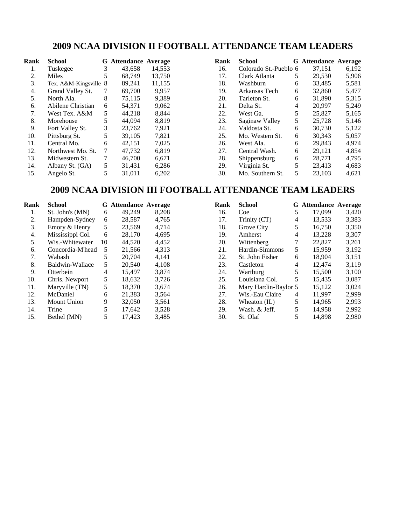## **2009 NCAA DIVISION II FOOTBALL ATTENDANCE TEAM LEADERS**

| Rank | <b>School</b>         |   | <b>G</b> Attendance Average |        | Rank | <b>School</b>         |   | <b>G</b> Attendance Average |       |
|------|-----------------------|---|-----------------------------|--------|------|-----------------------|---|-----------------------------|-------|
| 1.   | Tuskegee              | 3 | 43.658                      | 14.553 | 16.  | Colorado St.-Pueblo 6 |   | 37,151                      | 6,192 |
| 2.   | Miles                 |   | 68.749                      | 13,750 | 17.  | Clark Atlanta         | 5 | 29,530                      | 5,906 |
| 3.   | Tex. A&M-Kingsville 8 |   | 89,241                      | 11,155 | 18.  | Washburn              | 6 | 33,485                      | 5,581 |
| 4.   | Grand Valley St.      | 7 | 69,700                      | 9,957  | 19.  | Arkansas Tech         | 6 | 32,860                      | 5,477 |
| 5.   | North Ala.            | 8 | 75,115                      | 9,389  | 20.  | Tarleton St.          | 6 | 31,890                      | 5,315 |
| 6.   | Abilene Christian     | 6 | 54,371                      | 9,062  | 21.  | Delta St.             | 4 | 20.997                      | 5.249 |
| 7.   | West Tex. A&M         | 5 | 44,218                      | 8,844  | 22.  | West Ga.              | 5 | 25,827                      | 5,165 |
| 8.   | Morehouse             |   | 44,094                      | 8,819  | 23.  | Saginaw Valley        | 5 | 25,728                      | 5,146 |
| 9.   | Fort Valley St.       | 3 | 23.762                      | 7,921  | 24.  | Valdosta St.          | 6 | 30.730                      | 5,122 |
| 10.  | Pittsburg St.         | 5 | 39,105                      | 7,821  | 25.  | Mo. Western St.       | 6 | 30,343                      | 5,057 |
| 11.  | Central Mo.           | 6 | 42,151                      | 7,025  | 26.  | West Ala.             | 6 | 29,843                      | 4,974 |
| 12.  | Northwest Mo. St.     | 7 | 47,732                      | 6,819  | 27.  | Central Wash.         | 6 | 29,121                      | 4,854 |
| 13.  | Midwestern St.        | 7 | 46,700                      | 6,671  | 28.  | Shippensburg          | 6 | 28,771                      | 4,795 |
| 14.  | Albany St. (GA)       | 5 | 31,431                      | 6,286  | 29.  | Virginia St.          |   | 23.413                      | 4,683 |
| 15.  | Angelo St.            | 5 | 31,011                      | 6,202  | 30.  | Mo. Southern St.      | 5 | 23.103                      | 4,621 |

### **2009 NCAA DIVISION III FOOTBALL ATTENDANCE TEAM LEADERS**

| Rank | School           |    | <b>G</b> Attendance Average |       |
|------|------------------|----|-----------------------------|-------|
| 1.   | St. John's (MN)  | 6  | 49.249                      | 8,208 |
| 2.   | Hampden-Sydney   | 6  | 28,587                      | 4,765 |
| 3.   | Emory & Henry    | 5  | 23,569                      | 4,714 |
| 4.   | Mississippi Col. | 6  | 28,170                      | 4,695 |
| 5.   | Wis.-Whitewater  | 10 | 44,520                      | 4,452 |
| 6.   | Concordia-M'head | 5  | 21,566                      | 4,313 |
| 7.   | Wabash           | 5  | 20,704                      | 4,141 |
| 8.   | Baldwin-Wallace  | 5  | 20,540                      | 4,108 |
| 9.   | Otterbein        | 4  | 15,497                      | 3,874 |
| 10.  | Chris. Newport   | 5  | 18.632                      | 3,726 |
| 11.  | Maryville (TN)   | 5  | 18,370                      | 3,674 |
| 12.  | McDaniel         | 6  | 21,383                      | 3,564 |
| 13.  | Mount Union      | 9  | 32,050                      | 3,561 |
| 14.  | Trine            | 5  | 17,642                      | 3,528 |
| 15.  | Bethel (MN)      | 5  | 17,423                      | 3,485 |

| Rank | School               |   | <b>G</b> Attendance Average |       |
|------|----------------------|---|-----------------------------|-------|
|      |                      |   |                             |       |
| 16.  | Coe                  | 5 | 17,099                      | 3,420 |
| 17.  | Trinity (CT)         | 4 | 13,533                      | 3,383 |
| 18.  | Grove City           | 5 | 16,750                      | 3,350 |
| 19.  | Amherst              | 4 | 13,228                      | 3,307 |
| 20.  | Wittenberg           | 7 | 22,827                      | 3,261 |
| 21.  | Hardin-Simmons       | 5 | 15,959                      | 3,192 |
| 22.  | St. John Fisher      | 6 | 18,904                      | 3,151 |
| 23.  | Castleton            | 4 | 12,474                      | 3,119 |
| 24.  | Wartburg             | 5 | 15,500                      | 3,100 |
| 25.  | Louisiana Col.       | 5 | 15,435                      | 3,087 |
| 26.  | Mary Hardin-Baylor 5 |   | 15,122                      | 3,024 |
| 27.  | Wis.-Eau Claire      | 4 | 11,997                      | 2,999 |
| 28.  | Wheaton (IL)         | 5 | 14,965                      | 2,993 |
| 29.  | Wash. & Jeff.        | 5 | 14,958                      | 2,992 |
| 30.  | St. Olaf             | 5 | 14,898                      | 2,980 |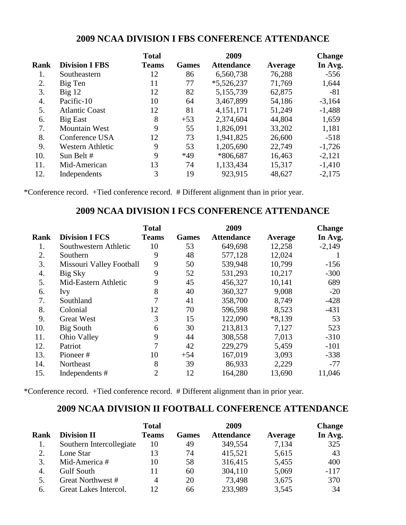### **2009 NCAA DIVISION I FBS CONFERENCE ATTENDANCE**

|      |                       | <b>Total</b> |              | 2009              |         | <b>Change</b> |
|------|-----------------------|--------------|--------------|-------------------|---------|---------------|
| Rank | <b>Division I FBS</b> | <b>Teams</b> | <b>Games</b> | <b>Attendance</b> | Average | In Avg.       |
| 1.   | Southeastern          | 12           | 86           | 6,560,738         | 76,288  | $-556$        |
| 2.   | Big Ten               | 11           | 77           | $*5,526,237$      | 71,769  | 1,644         |
| 3.   | $Big$ 12              | 12           | 82           | 5,155,739         | 62,875  | $-81$         |
| 4.   | Pacific-10            | 10           | 64           | 3,467,899         | 54,186  | $-3,164$      |
| 5.   | <b>Atlantic Coast</b> | 12           | 81           | 4,151,171         | 51,249  | $-1,488$      |
| 6.   | <b>Big East</b>       | 8            | $+53$        | 2,374,604         | 44,804  | 1,659         |
| 7.   | <b>Mountain West</b>  | 9            | 55           | 1,826,091         | 33,202  | 1,181         |
| 8.   | Conference USA        | 12           | 73           | 1,941,825         | 26,600  | $-518$        |
| 9.   | Western Athletic      | 9            | 53           | 1,205,690         | 22,749  | $-1,726$      |
| 10.  | Sun Belt #            | 9            | *49          | *806,687          | 16,463  | $-2,121$      |
| 11.  | Mid-American          | 13           | 74           | 1,133,434         | 15,317  | $-1,410$      |
| 12.  | Independents          | 3            | 19           | 923,915           | 48,627  | $-2,175$      |

\*Conference record. +Tied conference record. # Different alignment than in prior year.

#### **2009 NCAA DIVISION I FCS CONFERENCE ATTENDANCE**

|             |                          | <b>Total</b>   |              | 2009              |          | <b>Change</b> |
|-------------|--------------------------|----------------|--------------|-------------------|----------|---------------|
| <b>Rank</b> | <b>Division I FCS</b>    | <b>Teams</b>   | <b>Games</b> | <b>Attendance</b> | Average  | In Avg.       |
| 1.          | Southwestern Athletic    | 10             | 53           | 649,698           | 12,258   | $-2,149$      |
| 2.          | Southern                 | 9              | 48           | 577,128           | 12,024   |               |
| 3.          | Missouri Valley Football | 9              | 50           | 539,948           | 10,799   | $-156$        |
| 4.          | Big Sky                  | 9              | 52           | 531,293           | 10,217   | $-300$        |
| 5.          | Mid-Eastern Athletic     | 9              | 45           | 456,327           | 10,141   | 689           |
| 6.          | Ivy                      | 8              | 40           | 360,327           | 9,008    | $-20$         |
| 7.          | Southland                | 7              | 41           | 358,700           | 8,749    | $-428$        |
| 8.          | Colonial                 | 12             | 70           | 596,598           | 8,523    | $-431$        |
| 9.          | <b>Great West</b>        | 3              | 15           | 122,090           | $*8,139$ | 53            |
| 10.         | Big South                | 6              | 30           | 213,813           | 7,127    | 523           |
| 11.         | Ohio Valley              | 9              | 44           | 308,558           | 7,013    | $-310$        |
| 12.         | Patriot                  | 7              | 42           | 229,279           | 5,459    | $-101$        |
| 13.         | Pioneer#                 | 10             | $+54$        | 167,019           | 3,093    | $-338$        |
| 14.         | Northeast                | 8              | 39           | 86,933            | 2,229    | $-77$         |
| 15.         | Independents #           | $\overline{2}$ | 12           | 164,280           | 13,690   | 11,046        |

\*Conference record. +Tied conference record. # Different alignment than in prior year.

## **2009 NCAA DIVISION II FOOTBALL CONFERENCE ATTENDANCE**

|      |                          | <b>Total</b> |              | 2009              |         | <b>Change</b> |
|------|--------------------------|--------------|--------------|-------------------|---------|---------------|
| Rank | <b>Division II</b>       | <b>Teams</b> | <b>Games</b> | <b>Attendance</b> | Average | In Avg.       |
| 1.   | Southern Intercollegiate | 10           | 49           | 349,554           | 7,134   | 325           |
|      | Lone Star                | 13           | 74           | 415,521           | 5,615   | 43            |
| 3.   | Mid-America #            | 10           | 58           | 316,415           | 5,455   | 400           |
| 4.   | <b>Gulf South</b>        | 11           | 60           | 304,110           | 5,069   | $-117$        |
| 5.   | Great Northwest #        | 4            | 20           | 73,498            | 3,675   | 370           |
| 6.   | Great Lakes Intercol.    | $\mathbf{1}$ | 66           | 233,989           | 3,545   | 34            |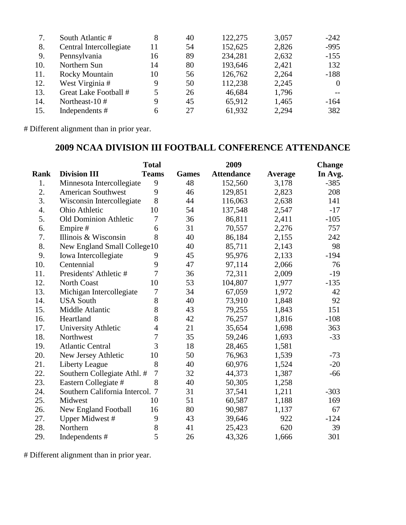|     | South Atlantic #        | 8  | 40 | 122,275 | 3,057 | $-242$         |
|-----|-------------------------|----|----|---------|-------|----------------|
| 8.  | Central Intercollegiate | 11 | 54 | 152,625 | 2,826 | $-995$         |
| 9.  | Pennsylvania            | 16 | 89 | 234,281 | 2,632 | $-155$         |
| 10. | Northern Sun            | 14 | 80 | 193,646 | 2,421 | 132            |
| 11. | <b>Rocky Mountain</b>   | 10 | 56 | 126,762 | 2,264 | $-188$         |
| 12. | West Virginia #         | 9  | 50 | 112,238 | 2,245 | $\overline{0}$ |
| 13. | Great Lake Football #   | 5  | 26 | 46,684  | 1,796 |                |
| 14. | Northeast-10#           | 9  | 45 | 65,912  | 1,465 | $-164$         |
| 15. | Independents #          | 6  | 27 | 61,932  | 2,294 | 382            |

# Different alignment than in prior year.

# **2009 NCAA DIVISION III FOOTBALL CONFERENCE ATTENDANCE**

|             |                                 | <b>Total</b>   |              | 2009              |         | <b>Change</b> |
|-------------|---------------------------------|----------------|--------------|-------------------|---------|---------------|
| <b>Rank</b> | <b>Division III</b>             | <b>Teams</b>   | <b>Games</b> | <b>Attendance</b> | Average | In Avg.       |
| 1.          | Minnesota Intercollegiate       | 9              | 48           | 152,560           | 3,178   | $-385$        |
| 2.          | <b>American Southwest</b>       | 9              | 46           | 129,851           | 2,823   | 208           |
| 3.          | Wisconsin Intercollegiate       | 8              | 44           | 116,063           | 2,638   | 141           |
| 4.          | Ohio Athletic                   | 10             | 54           | 137,548           | 2,547   | $-17$         |
| 5.          | <b>Old Dominion Athletic</b>    | 7              | 36           | 86,811            | 2,411   | $-105$        |
| 6.          | Empire#                         | 6              | 31           | 70,557            | 2,276   | 757           |
| 7.          | Illinois & Wisconsin            | 8              | 40           | 86,184            | 2,155   | 242           |
| 8.          | New England Small College10     |                | 40           | 85,711            | 2,143   | 98            |
| 9.          | Iowa Intercollegiate            | 9              | 45           | 95,976            | 2,133   | $-194$        |
| 10.         | Centennial                      | 9              | 47           | 97,114            | 2,066   | 76            |
| 11.         | Presidents' Athletic #          | 7              | 36           | 72,311            | 2,009   | $-19$         |
| 12.         | <b>North Coast</b>              | 10             | 53           | 104,807           | 1,977   | $-135$        |
| 13.         | Michigan Intercollegiate        | 7              | 34           | 67,059            | 1,972   | 42            |
| 14.         | <b>USA South</b>                | 8              | 40           | 73,910            | 1,848   | 92            |
| 15.         | Middle Atlantic                 | 8              | 43           | 79,255            | 1,843   | 151           |
| 16.         | Heartland                       | 8              | 42           | 76,257            | 1,816   | $-108$        |
| 17.         | University Athletic             | $\overline{4}$ | 21           | 35,654            | 1,698   | 363           |
| 18.         | Northwest                       | 7              | 35           | 59,246            | 1,693   | $-33$         |
| 19.         | <b>Atlantic Central</b>         | 3              | 18           | 28,465            | 1,581   |               |
| 20.         | New Jersey Athletic             | 10             | 50           | 76,963            | 1,539   | $-73$         |
| 21.         | Liberty League                  | 8              | 40           | 60,976            | 1,524   | $-20$         |
| 22.         | Southern Collegiate Athl. #     | $\overline{7}$ | 32           | 44,373            | 1,387   | $-66$         |
| 23.         | Eastern Collegiate #            | 8              | 40           | 50,305            | 1,258   |               |
| 24.         | Southern California Intercol. 7 |                | 31           | 37,541            | 1,211   | $-303$        |
| 25.         | Midwest                         | 10             | 51           | 60,587            | 1,188   | 169           |
| 26.         | New England Football            | 16             | 80           | 90,987            | 1,137   | 67            |
| 27.         | Upper Midwest #                 | 9              | 43           | 39,646            | 922     | $-124$        |
| 28.         | Northern                        | 8              | 41           | 25,423            | 620     | 39            |
| 29.         | Independents #                  | 5              | 26           | 43,326            | 1,666   | 301           |

# Different alignment than in prior year.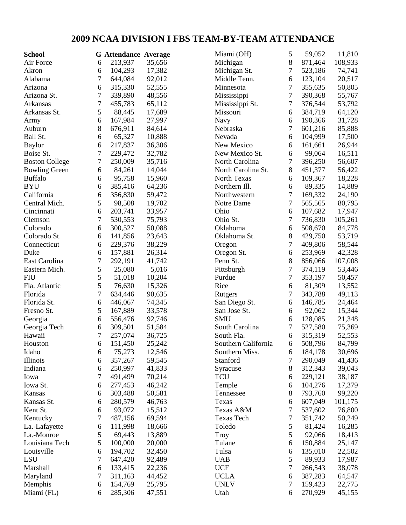# **2009 NCAA DIVISION I FBS TEAM-BY-TEAM ATTENDANCE**

| <b>School</b>         |   | <b>G</b> Attendance Average |        | Miami (OH)          | 5                | 59,052  | 11,810  |
|-----------------------|---|-----------------------------|--------|---------------------|------------------|---------|---------|
| Air Force             | 6 | 213,937                     | 35,656 | Michigan            | 8                | 871,464 | 108,933 |
| Akron                 | 6 | 104,293                     | 17,382 | Michigan St.        | 7                | 523,186 | 74,741  |
| Alabama               | 7 | 644,084                     | 92,012 | Middle Tenn.        | 6                | 123,104 | 20,517  |
| Arizona               | 6 | 315,330                     | 52,555 | Minnesota           | $\tau$           | 355,635 | 50,805  |
| Arizona St.           | 7 | 339,890                     | 48,556 | Mississippi         | $\boldsymbol{7}$ | 390,368 | 55,767  |
| Arkansas              | 7 | 455,783                     | 65,112 | Mississippi St.     | 7                | 376,544 | 53,792  |
| Arkansas St.          | 5 | 88,445                      | 17,689 | Missouri            | 6                | 384,719 | 64,120  |
| Army                  | 6 | 167,984                     | 27,997 | Navy                | 6                | 190,366 | 31,728  |
| Auburn                | 8 | 676,911                     | 84,614 | Nebraska            | $\tau$           | 601,216 | 85,888  |
| Ball St.              | 6 | 65,327                      | 10,888 | Nevada              | 6                | 104,999 | 17,500  |
| <b>Baylor</b>         | 6 | 217,837                     | 36,306 | New Mexico          | 6                | 161,661 | 26,944  |
| Boise St.             | 7 | 229,472                     | 32,782 | New Mexico St.      | 6                | 99,064  | 16,511  |
| <b>Boston College</b> | 7 | 250,009                     | 35,716 | North Carolina      | 7                | 396,250 | 56,607  |
| <b>Bowling Green</b>  | 6 | 84,261                      | 14,044 | North Carolina St.  | $8\,$            | 451,377 | 56,422  |
| <b>Buffalo</b>        | 6 | 95,758                      | 15,960 | North Texas         | 6                | 109,367 | 18,228  |
| <b>BYU</b>            | 6 | 385,416                     | 64,236 | Northern Ill.       | 6                | 89,335  | 14,889  |
| California            | 6 | 356,830                     | 59,472 | Northwestern        | $\tau$           | 169,332 | 24,190  |
| Central Mich.         | 5 | 98,508                      | 19,702 | Notre Dame          | 7                | 565,565 | 80,795  |
| Cincinnati            | 6 | 203,741                     | 33,957 | Ohio                | 6                | 107,682 | 17,947  |
| Clemson               | 7 | 530,553                     | 75,793 | Ohio St.            | 7                | 736,830 | 105,261 |
| Colorado              | 6 | 300,527                     | 50,088 | Oklahoma            | 6                | 508,670 | 84,778  |
| Colorado St.          | 6 | 141,856                     | 23,643 | Oklahoma St.        | 8                | 429,750 | 53,719  |
| Connecticut           | 6 | 229,376                     | 38,229 | Oregon              | $\boldsymbol{7}$ | 409,806 | 58,544  |
| Duke                  | 6 | 157,881                     | 26,314 | Oregon St.          | 6                | 253,969 | 42,328  |
| East Carolina         | 7 | 292,191                     | 41,742 | Penn St.            | 8                | 856,066 | 107,008 |
| Eastern Mich.         | 5 | 25,080                      | 5,016  | Pittsburgh          | $\boldsymbol{7}$ | 374,119 | 53,446  |
| <b>FIU</b>            | 5 | 51,018                      | 10,204 | Purdue              | $\boldsymbol{7}$ | 353,197 | 50,457  |
| Fla. Atlantic         | 5 | 76,630                      | 15,326 | Rice                | 6                | 81,309  | 13,552  |
| Florida               | 7 | 634,446                     | 90,635 | Rutgers             | $\tau$           | 343,788 | 49,113  |
| Florida St.           | 6 | 446,067                     | 74,345 | San Diego St.       | 6                | 146,785 | 24,464  |
| Fresno St.            | 5 | 167,889                     | 33,578 | San Jose St.        | 6                | 92,062  | 15,344  |
| Georgia               | 6 | 556,476                     | 92,746 | <b>SMU</b>          | 6                | 128,085 | 21,348  |
| Georgia Tech          | 6 | 309,501                     | 51,584 | South Carolina      | 7                | 527,580 | 75,369  |
| Hawaii                | 7 | 257,074                     | 36,725 | South Fla.          | 6                | 315,319 | 52,553  |
| Houston               | 6 | 151,450                     | 25,242 | Southern California | 6                | 508,796 | 84,799  |
| Idaho                 | 6 | 75,273                      | 12,546 | Southern Miss.      | 6                | 184,178 | 30,696  |
| Illinois              | 6 | 357,267                     | 59,545 | Stanford            | 7                | 290,049 | 41,436  |
| Indiana               | 6 | 250,997                     | 41,833 | Syracuse            | $8\,$            | 312,343 | 39,043  |
| Iowa                  | 7 | 491,499                     | 70,214 | <b>TCU</b>          | 6                | 229,121 | 38,187  |
| Iowa St.              | 6 | 277,453                     | 46,242 | Temple              | 6                | 104,276 | 17,379  |
| Kansas                | 6 | 303,488                     | 50,581 | Tennessee           | $8\,$            | 793,760 | 99,220  |
| Kansas St.            | 6 | 280,579                     | 46,763 | Texas               | 6                | 607,049 | 101,175 |
| Kent St.              | 6 | 93,072                      | 15,512 | Texas A&M           | 7                | 537,602 | 76,800  |
| Kentucky              | 7 | 487,156                     | 69,594 | <b>Texas Tech</b>   | 7                | 351,742 | 50,249  |
| La.-Lafayette         | 6 | 111,998                     | 18,666 | Toledo              | 5                | 81,424  | 16,285  |
| La.-Monroe            | 5 | 69,443                      | 13,889 | <b>Troy</b>         | 5                | 92,066  | 18,413  |
| Louisiana Tech        | 5 | 100,000                     | 20,000 | Tulane              | 6                | 150,884 | 25,147  |
| Louisville            | 6 | 194,702                     | 32,450 | Tulsa               | 6                | 135,010 | 22,502  |
| LSU                   | 7 | 647,420                     | 92,489 | <b>UAB</b>          | 5                | 89,933  | 17,987  |
| Marshall              | 6 | 133,415                     | 22,236 | <b>UCF</b>          | 7                | 266,543 | 38,078  |
| Maryland              | 7 | 311,163                     | 44,452 | <b>UCLA</b>         | 6                | 387,283 | 64,547  |
| Memphis               | 6 | 154,769                     | 25,795 | <b>UNLV</b>         | 7                | 159,423 | 22,775  |
| Miami (FL)            | 6 | 285,306                     | 47,551 | Utah                | 6                | 270,929 | 45,155  |
|                       |   |                             |        |                     |                  |         |         |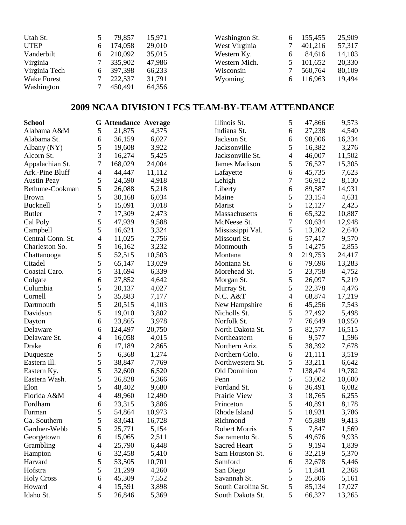| Utah St.      | 79,857  | 15,971 | Washington St. |   | 155,455 | 25,909 |
|---------------|---------|--------|----------------|---|---------|--------|
| <b>UTEP</b>   | 174,058 | 29,010 | West Virginia  |   | 401,216 | 57,317 |
| Vanderbilt    | 210,092 | 35,015 | Western Ky.    | 6 | 84,616  | 14,103 |
| Virginia      | 335,902 | 47,986 | Western Mich.  |   | 101,652 | 20,330 |
| Virginia Tech | 397,398 | 66,233 | Wisconsin      |   | 560,764 | 80,109 |
| Wake Forest   | 222,537 | 31,791 | Wyoming        |   | 116,963 | 19,494 |
| Washington    | 450,491 | 64,356 |                |   |         |        |

# **2009 NCAA DIVISION I FCS TEAM-BY-TEAM ATTENDANCE**

| <b>School</b>      |                | <b>G</b> Attendance Average |        | Illinois St.         | 5                | 47,866  | 9,573  |
|--------------------|----------------|-----------------------------|--------|----------------------|------------------|---------|--------|
| Alabama A&M        | 5              | 21,875                      | 4,375  | Indiana St.          | 6                | 27,238  | 4,540  |
| Alabama St.        | 6              | 36,159                      | 6,027  | Jackson St.          | 6                | 98,006  | 16,334 |
| Albany (NY)        | 5              | 19,608                      | 3,922  | Jacksonville         | 5                | 16,382  | 3,276  |
| Alcorn St.         | 3              | 16,274                      | 5,425  | Jacksonville St.     | 4                | 46,007  | 11,502 |
| Appalachian St.    | 7              | 168,029                     | 24,004 | <b>James Madison</b> | 5                | 76,527  | 15,305 |
| Ark.-Pine Bluff    | $\overline{4}$ | 44,447                      | 11,112 | Lafayette            | 6                | 45,735  | 7,623  |
| <b>Austin Peay</b> | 5              | 24,590                      | 4,918  | Lehigh               | 7                | 56,912  | 8,130  |
| Bethune-Cookman    | 5              | 26,088                      | 5,218  | Liberty              | 6                | 89,587  | 14,931 |
| <b>Brown</b>       | 5              | 30,168                      | 6,034  | Maine                | 5                | 23,154  | 4,631  |
| Bucknell           | 5              | 15,091                      | 3,018  | Marist               | 5                | 12,127  | 2,425  |
| <b>Butler</b>      | 7              | 17,309                      | 2,473  | Massachusetts        | 6                | 65,322  | 10,887 |
| Cal Poly           | 5              | 47,939                      | 9,588  | McNeese St.          | $\boldsymbol{7}$ | 90,634  | 12,948 |
| Campbell           | 5              | 16,621                      | 3,324  | Mississippi Val.     | 5                | 13,202  | 2,640  |
| Central Conn. St.  | $\overline{4}$ | 11,025                      | 2,756  | Missouri St.         | 6                | 57,417  | 9,570  |
| Charleston So.     | 5              | 16,162                      | 3,232  | Monmouth             | 5                | 14,275  | 2,855  |
| Chattanooga        | 5              | 52,515                      | 10,503 | Montana              | 9                | 219,753 | 24,417 |
| Citadel            | 5              | 65,147                      | 13,029 | Montana St.          | 6                | 79,696  | 13,283 |
| Coastal Caro.      | 5              | 31,694                      | 6,339  | Morehead St.         | 5                | 23,758  | 4,752  |
| Colgate            | 6              | 27,852                      | 4,642  | Morgan St.           | 5                | 26,097  | 5,219  |
| Columbia           | 5              | 20,137                      | 4,027  | Murray St.           | 5                | 22,378  | 4,476  |
| Cornell            | 5              | 35,883                      | 7,177  | N.C. A&T             | 4                | 68,874  | 17,219 |
| Dartmouth          | 5              | 20,515                      | 4,103  | New Hampshire        | 6                | 45,256  | 7,543  |
| Davidson           | 5              | 19,010                      | 3,802  | Nicholls St.         | 5                | 27,492  | 5,498  |
| Dayton             | 6              | 23,865                      | 3,978  | Norfolk St.          | 7                | 76,649  | 10,950 |
| Delaware           | 6              | 124,497                     | 20,750 | North Dakota St.     | 5                | 82,577  | 16,515 |
| Delaware St.       | $\overline{4}$ | 16,058                      | 4,015  | Northeastern         | 6                | 9,577   | 1,596  |
| Drake              | 6              | 17,189                      | 2,865  | Northern Ariz.       | 5                | 38,392  | 7,678  |
| Duquesne           | 5              | 6,368                       | 1,274  | Northern Colo.       | 6                | 21,111  | 3,519  |
| Eastern Ill.       | 5              | 38,847                      | 7,769  | Northwestern St.     | 5                | 33,211  | 6,642  |
| Eastern Ky.        | 5              | 32,600                      | 6,520  | Old Dominion         | 7                | 138,474 | 19,782 |
| Eastern Wash.      | 5              | 26,828                      | 5,366  | Penn                 | 5                | 53,002  | 10,600 |
| Elon               | 5              | 48,402                      | 9,680  | Portland St.         | 6                | 36,491  | 6,082  |
| Florida A&M        | 4              | 49,960                      | 12,490 | Prairie View         | 3                | 18,765  | 6,255  |
| Fordham            | 6              | 23,315                      | 3,886  | Princeton            | 5                | 40,891  | 8,178  |
| Furman             | 5              | 54,864                      | 10,973 | Rhode Island         | 5                | 18,931  | 3,786  |
| Ga. Southern       | 5              | 83,641                      | 16,728 | Richmond             | 7                | 65,888  | 9,413  |
| Gardner-Webb       | 5              | 25,771                      | 5,154  | <b>Robert Morris</b> | 5                | 7,847   | 1,569  |
| Georgetown         | 6              | 15,065                      | 2,511  | Sacramento St.       | 5                | 49,676  | 9,935  |
| Grambling          | 4              | 25,790                      | 6,448  | Sacred Heart         | 5                | 9,194   | 1,839  |
| Hampton            | 6              | 32,458                      | 5,410  | Sam Houston St.      | 6                | 32,219  | 5,370  |
| Harvard            | 5              | 53,505                      | 10,701 | Samford              | 6                | 32,678  | 5,446  |
| Hofstra            | 5              | 21,299                      | 4,260  | San Diego            | 5                | 11,841  | 2,368  |
| <b>Holy Cross</b>  | 6              | 45,309                      | 7,552  | Savannah St.         | 5                | 25,806  | 5,161  |
| Howard             | 4              | 15,591                      | 3,898  | South Carolina St.   | 5                | 85,134  | 17,027 |
| Idaho St.          | 5              | 26,846                      | 5,369  | South Dakota St.     | 5                | 66,327  | 13,265 |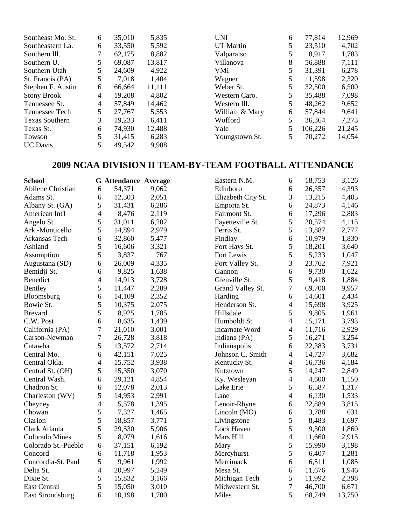| Southeast Mo. St.     | 6 | 35,010 | 5,835  | UNI              | 6 | 77,814  | 12,969 |
|-----------------------|---|--------|--------|------------------|---|---------|--------|
| Southeastern La.      | 6 | 33,550 | 5,592  | <b>UT</b> Martin | 5 | 23,510  | 4,702  |
| Southern III.         |   | 62,175 | 8,882  | Valparaiso       |   | 8,917   | 1,783  |
| Southern U.           | 5 | 69,087 | 13,817 | Villanova        | 8 | 56,888  | 7,111  |
| Southern Utah         |   | 24,609 | 4,922  | VMI              | 5 | 31,391  | 6,278  |
| St. Francis (PA)      | 5 | 7,018  | 1,404  | Wagner           | 5 | 11,598  | 2,320  |
| Stephen F. Austin     | 6 | 66,664 | 11,111 | Weber St.        | 5 | 32,500  | 6,500  |
| <b>Stony Brook</b>    | 4 | 19,208 | 4,802  | Western Caro.    | 5 | 35,488  | 7,098  |
| Tennessee St.         | 4 | 57,849 | 14,462 | Western Ill.     | 5 | 48,262  | 9,652  |
| Tennessee Tech        | 5 | 27,767 | 5,553  | William & Mary   | 6 | 57,844  | 9,641  |
| <b>Texas Southern</b> | 3 | 19,233 | 6,411  | Wofford          | 5 | 36,364  | 7,273  |
| Texas St.             | 6 | 74,930 | 12,488 | Yale             | 5 | 106,226 | 21,245 |
| Towson                |   | 31,415 | 6,283  | Youngstown St.   | 5 | 70,272  | 14,054 |
| <b>UC</b> Davis       |   | 49,542 | 9,908  |                  |   |         |        |

# **2009 NCAA DIVISION II TEAM-BY-TEAM FOOTBALL ATTENDANCE**

| <b>School</b>         |                          | <b>G</b> Attendance Average |       | Eastern N.M.          | 6              | 18,753 | 3,126  |
|-----------------------|--------------------------|-----------------------------|-------|-----------------------|----------------|--------|--------|
| Abilene Christian     | 6                        | 54,371                      | 9,062 | Edinboro              | 6              | 26,357 | 4,393  |
| Adams St.             | 6                        | 12,303                      | 2,051 | Elizabeth City St.    | 3              | 13,215 | 4,405  |
| Albany St. (GA)       | 5                        | 31,431                      | 6,286 | Emporia St.           | 6              | 24,873 | 4,146  |
| American Int'l        | $\overline{4}$           | 8,476                       | 2,119 | Fairmont St.          | 6              | 17,296 | 2,883  |
| Angelo St.            | 5                        | 31,011                      | 6,202 | Fayetteville St.      | 5              | 20,574 | 4,115  |
| Ark.-Monticello       | 5                        | 14,894                      | 2,979 | Ferris St.            | 5              | 13,887 | 2,777  |
| Arkansas Tech         | 6                        | 32,860                      | 5,477 | Findlay               | 6              | 10,979 | 1,830  |
| Ashland               | 5                        | 16,606                      | 3,321 | Fort Hays St.         | 5              | 18,201 | 3,640  |
| Assumption            | 5                        | 3,837                       | 767   | Fort Lewis            | 5              | 5,233  | 1,047  |
| Augustana (SD)        | 6                        | 26,009                      | 4,335 | Fort Valley St.       | 3              | 23,762 | 7,921  |
| Bemidji St.           | 6                        | 9,825                       | 1,638 | Gannon                | 6              | 9,730  | 1,622  |
| Benedict              | $\overline{\mathcal{L}}$ | 14,913                      | 3,728 | Glenville St.         | 5              | 9,418  | 1,884  |
| Bentley               | 5                        | 11,447                      | 2,289 | Grand Valley St.      | 7              | 69,700 | 9,957  |
| Bloomsburg            | 6                        | 14,109                      | 2,352 | Harding               | 6              | 14,601 | 2,434  |
| Bowie St.             | 5                        | 10,375                      | 2,075 | Henderson St.         | 4              | 15,698 | 3,925  |
| <b>Brevard</b>        | 5                        | 8,925                       | 1,785 | Hillsdale             | 5              | 9,805  | 1,961  |
| C.W. Post             | 6                        | 8,635                       | 1,439 | Humboldt St.          | 4              | 15,171 | 3,793  |
| California (PA)       | 7                        | 21,010                      | 3,001 | <b>Incarnate Word</b> | 4              | 11,716 | 2,929  |
| Carson-Newman         | 7                        | 26,728                      | 3,818 | Indiana (PA)          | 5              | 16,271 | 3,254  |
| Catawba               | 5                        | 13,572                      | 2,714 | Indianapolis          | 6              | 22,383 | 3,731  |
| Central Mo.           | 6                        | 42,151                      | 7,025 | Johnson C. Smith      | $\overline{4}$ | 14,727 | 3,682  |
| Central Okla.         | $\overline{4}$           | 15,752                      | 3,938 | Kentucky St.          | 4              | 16,736 | 4,184  |
| Central St. (OH)      | 5                        | 15,350                      | 3,070 | Kutztown              | 5              | 14,247 | 2,849  |
| Central Wash.         | 6                        | 29,121                      | 4,854 | Ky. Wesleyan          | 4              | 4,600  | 1,150  |
| Chadron St.           | 6                        | 12,078                      | 2,013 | Lake Erie             | 5              | 6,587  | 1,317  |
| Charleston (WV)       | 5                        | 14,953                      | 2,991 | Lane                  | 4              | 6,130  | 1,533  |
| Cheyney               | $\overline{\mathcal{L}}$ | 5,578                       | 1,395 | Lenoir-Rhyne          | 6              | 22,889 | 3,815  |
| Chowan                | 5                        | 7,327                       | 1,465 | Lincoln (MO)          | 6              | 3,788  | 631    |
| Clarion               | 5                        | 18,857                      | 3,771 | Livingstone           | 5              | 8,483  | 1,697  |
| Clark Atlanta         | 5                        | 29,530                      | 5,906 | Lock Haven            | 5              | 9,300  | 1,860  |
| <b>Colorado Mines</b> | 5                        | 8,079                       | 1,616 | Mars Hill             | 4              | 11,660 | 2,915  |
| Colorado St.-Pueblo   | 6                        | 37,151                      | 6,192 | Mary                  | 5              | 15,990 | 3,198  |
| Concord               | 6                        | 11,718                      | 1,953 | Mercyhurst            | 5              | 6,407  | 1,281  |
| Concordia-St. Paul    | 5                        | 9,961                       | 1,992 | Merrimack             | 6              | 6,511  | 1,085  |
| Delta St.             | $\overline{4}$           | 20,997                      | 5,249 | Mesa St.              | 6              | 11,676 | 1,946  |
| Dixie St.             | 5                        | 15,832                      | 3,166 | Michigan Tech         | 5              | 11,992 | 2,398  |
| <b>East Central</b>   | 5                        | 15,050                      | 3,010 | Midwestern St.        | 7              | 46,700 | 6,671  |
| East Stroudsburg      | 6                        | 10,198                      | 1,700 | Miles                 | 5              | 68,749 | 13,750 |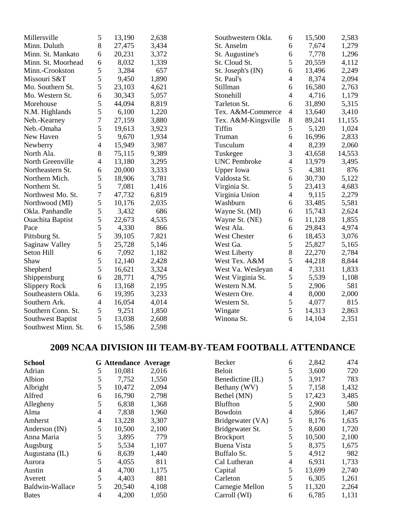| Millersville            | 5              | 13,190 | 2,638 | Southwestern Okla.  | 6              | 15,500 | 2,583  |
|-------------------------|----------------|--------|-------|---------------------|----------------|--------|--------|
| Minn. Duluth            | 8              | 27,475 | 3,434 | St. Anselm          | 6              | 7,674  | 1,279  |
| Minn. St. Mankato       | 6              | 20,231 | 3,372 | St. Augustine's     | 6              | 7,778  | 1,296  |
| Minn. St. Moorhead      | 6              | 8,032  | 1,339 | St. Cloud St.       | 5              | 20,559 | 4,112  |
| Minn.-Crookston         | 5              | 3,284  | 657   | St. Joseph's (IN)   | 6              | 13,496 | 2,249  |
| Missouri S&T            | 5              | 9,450  | 1,890 | St. Paul's          | $\overline{4}$ | 8,374  | 2,094  |
| Mo. Southern St.        | 5              | 23,103 | 4,621 | Stillman            | 6              | 16,580 | 2,763  |
| Mo. Western St.         | 6              | 30,343 | 5,057 | Stonehill           | $\overline{4}$ | 4,716  | 1,179  |
| Morehouse               | 5              | 44,094 | 8,819 | Tarleton St.        | 6              | 31,890 | 5,315  |
| N.M. Highlands          | 5              | 6,100  | 1,220 | Tex. A&M-Commerce   | $\overline{4}$ | 13,640 | 3,410  |
| Neb.-Kearney            | 7              | 27,159 | 3,880 | Tex. A&M-Kingsville | 8              | 89,241 | 11,155 |
| Neb.-Omaha              | 5              | 19,613 | 3,923 | Tiffin              | 5              | 5,120  | 1,024  |
| New Haven               | 5              | 9,670  | 1,934 | Truman              | 6              | 16,996 | 2,833  |
| Newberry                | 4              | 15,949 | 3,987 | Tusculum            | 4              | 8,239  | 2,060  |
| North Ala.              | 8              | 75,115 | 9,389 | Tuskegee            | 3              | 43,658 | 14,553 |
| North Greenville        | 4              | 13,180 | 3,295 | <b>UNC</b> Pembroke | $\overline{4}$ | 13,979 | 3,495  |
| Northeastern St.        | 6              | 20,000 | 3,333 | <b>Upper Iowa</b>   | 5              | 4,381  | 876    |
| Northern Mich.          | 5              | 18,906 | 3,781 | Valdosta St.        | 6              | 30,730 | 5,122  |
| Northern St.            | 5              | 7,081  | 1,416 | Virginia St.        | 5              | 23,413 | 4,683  |
| Northwest Mo. St.       | $\overline{7}$ | 47,732 | 6,819 | Virginia Union      | $\overline{4}$ | 9,115  | 2,279  |
| Northwood (MI)          | 5              | 10,176 | 2,035 | Washburn            | 6              | 33,485 | 5,581  |
| Okla. Panhandle         | 5              | 3,432  | 686   | Wayne St. (MI)      | 6              | 15,743 | 2,624  |
| <b>Ouachita Baptist</b> | 5              | 22,673 | 4,535 | Wayne St. (NE)      | 6              | 11,128 | 1,855  |
| Pace                    | 5              | 4,330  | 866   | West Ala.           | 6              | 29,843 | 4,974  |
| Pittsburg St.           | 5              | 39,105 | 7,821 | West Chester        | 6              | 18,453 | 3,076  |
| Saginaw Valley          | 5              | 25,728 | 5,146 | West Ga.            | 5              | 25,827 | 5,165  |
| Seton Hill              | 6              | 7,092  | 1,182 | <b>West Liberty</b> | 8              | 22,270 | 2,784  |
| Shaw                    | 5              | 12,140 | 2,428 | West Tex. A&M       | 5              | 44,218 | 8,844  |
| Shepherd                | 5              | 16,621 | 3,324 | West Va. Wesleyan   | 4              | 7,331  | 1,833  |
| Shippensburg            | 6              | 28,771 | 4,795 | West Virginia St.   | 5              | 5,539  | 1,108  |
| <b>Slippery Rock</b>    | 6              | 13,168 | 2,195 | Western N.M.        | 5              | 2,906  | 581    |
| Southeastern Okla.      | 6              | 19,395 | 3,233 | Western Ore.        | 4              | 8,000  | 2,000  |
| Southern Ark.           | 4              | 16,054 | 4,014 | Western St.         | 5              | 4,077  | 815    |
| Southern Conn. St.      | 5              | 9,251  | 1,850 | Wingate             | 5              | 14,313 | 2,863  |
| Southwest Baptist       | 5              | 13,038 | 2,608 | Winona St.          | 6              | 14,104 | 2,351  |
| Southwest Minn. St.     | 6              | 15,586 | 2,598 |                     |                |        |        |

# **2009 NCAA DIVISION III TEAM-BY-TEAM FOOTBALL ATTENDANCE**

| <b>School</b>   |    | <b>G</b> Attendance Average |       | Becker           | 6 | 2,842  | 474   |
|-----------------|----|-----------------------------|-------|------------------|---|--------|-------|
| Adrian          | 5. | 10,081                      | 2,016 | <b>Beloit</b>    | 5 | 3,600  | 720   |
| Albion          | 5  | 7,752                       | 1,550 | Benedictine (IL) | 5 | 3,917  | 783   |
| Albright        | 5  | 10,472                      | 2,094 | Bethany (WV)     | 5 | 7,158  | 1,432 |
| Alfred          | 6  | 16,790                      | 2,798 | Bethel (MN)      | 5 | 17,423 | 3,485 |
| Allegheny       | 5  | 6,838                       | 1,368 | <b>Bluffton</b>  | 5 | 2,900  | 580   |
| Alma            | 4  | 7,838                       | 1,960 | Bowdoin          | 4 | 5,866  | 1,467 |
| Amherst         | 4  | 13,228                      | 3,307 | Bridgewater (VA) | 5 | 8,176  | 1,635 |
| Anderson $(IN)$ | 5  | 10,500                      | 2,100 | Bridgewater St.  | 5 | 8,600  | 1,720 |
| Anna Maria      | 5  | 3,895                       | 779   | <b>Brockport</b> | 5 | 10,500 | 2,100 |
| Augsburg        | 5  | 5,534                       | 1,107 | Buena Vista      | 5 | 8,375  | 1,675 |
| Augustana (IL)  | 6  | 8,639                       | 1,440 | Buffalo St.      | 5 | 4,912  | 982   |
| Aurora          | 5  | 4,055                       | 811   | Cal Lutheran     | 4 | 6,931  | 1,733 |
| Austin          | 4  | 4,700                       | 1,175 | Capital          | 5 | 13,699 | 2,740 |
| Averett         | 5  | 4,403                       | 881   | Carleton         | 5 | 6,305  | 1,261 |
| Baldwin-Wallace | 5  | 20,540                      | 4,108 | Carnegie Mellon  | 5 | 11,320 | 2,264 |
| <b>Bates</b>    | 4  | 4,200                       | 1,050 | Carroll (WI)     | 6 | 6,785  | 1,131 |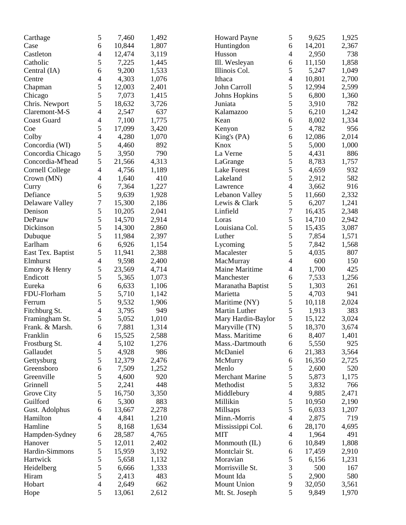| Carthage                   | 5              | 7,460  | 1,492 | <b>Howard Payne</b>    | 5              | 9,625  | 1,925 |
|----------------------------|----------------|--------|-------|------------------------|----------------|--------|-------|
| Case                       | 6              | 10,844 | 1,807 | Huntingdon             | 6              | 14,201 | 2,367 |
| Castleton                  | 4              | 12,474 | 3,119 | Husson                 | 4              | 2,950  | 738   |
| Catholic                   | 5              | 7,225  | 1,445 | Ill. Wesleyan          | 6              | 11,150 | 1,858 |
| Central (IA)               | 6              | 9,200  | 1,533 | Illinois Col.          | 5              | 5,247  | 1,049 |
| Centre                     | 4              | 4,303  | 1,076 | Ithaca                 | 4              | 10,801 | 2,700 |
| Chapman                    | 5              | 12,003 | 2,401 | John Carroll           | 5              | 12,994 | 2,599 |
| Chicago                    | 5              | 7,073  | 1,415 | <b>Johns Hopkins</b>   | 5              | 6,800  | 1,360 |
| Chris. Newport             | 5              | 18,632 | 3,726 | Juniata                | 5              | 3,910  | 782   |
| Claremont-M-S              | 4              | 2,547  | 637   | Kalamazoo              | 5              | 6,210  | 1,242 |
| <b>Coast Guard</b>         | 4              | 7,100  | 1,775 | Kean                   | 6              | 8,002  | 1,334 |
| Coe                        | 5              | 17,099 | 3,420 | Kenyon                 | 5              | 4,782  | 956   |
| Colby                      | $\overline{4}$ | 4,280  | 1,070 | King's (PA)            | 6              | 12,086 | 2,014 |
| Concordia (WI)             | 5              | 4,460  | 892   | Knox                   | 5              | 5,000  | 1,000 |
| Concordia Chicago          | 5              | 3,950  | 790   | La Verne               | 5              | 4,431  | 886   |
| Concordia-M'head           | 5              | 21,566 | 4,313 | LaGrange               | 5              | 8,783  | 1,757 |
| <b>Cornell College</b>     | $\overline{4}$ | 4,756  | 1,189 | Lake Forest            | 5              | 4,659  | 932   |
| Crown (MN)                 | 4              | 1,640  | 410   | Lakeland               | 5              | 2,912  | 582   |
| Curry                      | 6              | 7,364  | 1,227 | Lawrence               | 4              | 3,662  | 916   |
| Defiance                   | 5              | 9,639  | 1,928 | Lebanon Valley         | 5              | 11,660 | 2,332 |
|                            | $\overline{7}$ | 15,300 | 2,186 | Lewis & Clark          | 5              | 6,207  | 1,241 |
| Delaware Valley<br>Denison |                |        |       |                        | 7              |        |       |
|                            | 5              | 10,205 | 2,041 | Linfield               |                | 16,435 | 2,348 |
| DePauw                     | 5              | 14,570 | 2,914 | Loras                  | 5              | 14,710 | 2,942 |
| Dickinson                  | 5              | 14,300 | 2,860 | Louisiana Col.         | 5              | 15,435 | 3,087 |
| Dubuque                    | 5              | 11,984 | 2,397 | Luther                 | 5              | 7,854  | 1,571 |
| Earlham                    | 6              | 6,926  | 1,154 | Lycoming               | 5              | 7,842  | 1,568 |
| East Tex. Baptist          | 5              | 11,941 | 2,388 | Macalester             | 5              | 4,035  | 807   |
| Elmhurst                   | 4              | 9,598  | 2,400 | MacMurray              | 4              | 600    | 150   |
| Emory & Henry              | 5              | 23,569 | 4,714 | <b>Maine Maritime</b>  | 4              | 1,700  | 425   |
| Endicott                   | 5              | 5,365  | 1,073 | Manchester             | 6              | 7,533  | 1,256 |
| Eureka                     | 6              | 6,633  | 1,106 | Maranatha Baptist      | 5              | 1,303  | 261   |
| FDU-Florham                | 5              | 5,710  | 1,142 | Marietta               | 5              | 4,703  | 941   |
| Ferrum                     | 5              | 9,532  | 1,906 | Maritime (NY)          | 5              | 10,118 | 2,024 |
| Fitchburg St.              | 4              | 3,795  | 949   | Martin Luther          | 5              | 1,913  | 383   |
| Framingham St.             | 5              | 5,052  | 1,010 | Mary Hardin-Baylor     | 5              | 15,122 | 3,024 |
| Frank. & Marsh.            | 6              | 7,881  | 1,314 | Maryville (TN)         | 5              | 18,370 | 3,674 |
| Franklin                   | 6              | 15,525 | 2,588 | Mass. Maritime         | 6              | 8,407  | 1,401 |
| Frostburg St.              | $\overline{4}$ | 5,102  | 1,276 | Mass.-Dartmouth        | 6              | 5,550  | 925   |
| Gallaudet                  | 5              | 4,928  | 986   | McDaniel               | 6              | 21,383 | 3,564 |
| Gettysburg                 | 5              | 12,379 | 2,476 | McMurry                | 6              | 16,350 | 2,725 |
| Greensboro                 | 6              | 7,509  | 1,252 | Menlo                  | 5              | 2,600  | 520   |
| Greenville                 | 5              | 4,600  | 920   | <b>Merchant Marine</b> | 5              | 5,873  | 1,175 |
| Grinnell                   | 5              | 2,241  | 448   | Methodist              | 5              | 3,832  | 766   |
| Grove City                 | 5              | 16,750 | 3,350 | Middlebury             | 4              | 9,885  | 2,471 |
| Guilford                   | 6              | 5,300  | 883   | Millikin               | 5              | 10,950 | 2,190 |
| Gust. Adolphus             | 6              | 13,667 | 2,278 | Millsaps               | 5              | 6,033  | 1,207 |
| Hamilton                   | 4              | 4,841  | 1,210 | Minn.-Morris           | $\overline{4}$ | 2,875  | 719   |
| Hamline                    | 5              | 8,168  | 1,634 | Mississippi Col.       | 6              | 28,170 | 4,695 |
| Hampden-Sydney             | 6              | 28,587 | 4,765 | <b>MIT</b>             | $\overline{4}$ | 1,964  | 491   |
| Hanover                    | 5              | 12,011 | 2,402 | Monmouth (IL)          | 6              | 10,849 | 1,808 |
| Hardin-Simmons             | 5              | 15,959 | 3,192 | Montclair St.          | 6              | 17,459 | 2,910 |
| Hartwick                   | 5              | 5,658  | 1,132 | Moravian               | 5              | 6,156  | 1,231 |
| Heidelberg                 | 5              | 6,666  | 1,333 | Morrisville St.        | 3              | 500    | 167   |
| Hiram                      | 5              | 2,413  | 483   | Mount Ida              | 5              | 2,900  | 580   |
| Hobart                     | 4              | 2,649  | 662   | Mount Union            | 9              | 32,050 | 3,561 |
| Hope                       | 5              | 13,061 | 2,612 | Mt. St. Joseph         | 5              | 9,849  | 1,970 |
|                            |                |        |       |                        |                |        |       |